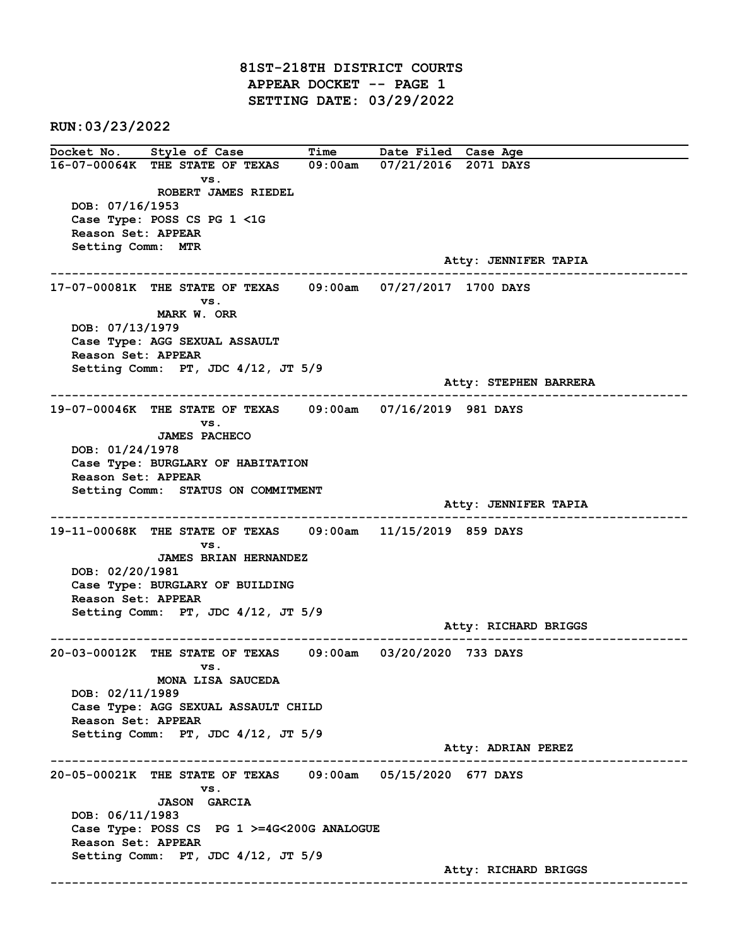81ST-218TH DISTRICT COURTS APPEAR DOCKET -- PAGE 1 SETTING DATE: 03/29/2022

RUN:03/23/2022

Docket No. Style of Case Time Date Filed Case Age 16-07-00064K THE STATE OF TEXAS 09:00am 07/21/2016 2071 DAYS vs. ROBERT JAMES RIEDEL DOB: 07/16/1953 Case Type: POSS CS PG 1 <1G Reason Set: APPEAR Setting Comm: MTR Atty: JENNIFER TAPIA ------------------------------------------------------------------------------------------------------------------------ 17-07-00081K THE STATE OF TEXAS 09:00am 07/27/2017 1700 DAYS vs. MARK W. ORR DOB: 07/13/1979 Case Type: AGG SEXUAL ASSAULT Reason Set: APPEAR Setting Comm: PT, JDC 4/12, JT 5/9 Atty: STEPHEN BARRERA ------------------------------------------------------------------------------------------------------------------------ 19-07-00046K THE STATE OF TEXAS 09:00am 07/16/2019 981 DAYS vs. JAMES PACHECO DOB: 01/24/1978 Case Type: BURGLARY OF HABITATION Reason Set: APPEAR Setting Comm: STATUS ON COMMITMENT Atty: JENNIFER TAPIA ------------------------------------------------------------------------------------------------------------------------ 19-11-00068K THE STATE OF TEXAS 09:00am 11/15/2019 859 DAYS vs. JAMES BRIAN HERNANDEZ DOB: 02/20/1981 Case Type: BURGLARY OF BUILDING Reason Set: APPEAR Setting Comm: PT, JDC 4/12, JT 5/9 Atty: RICHARD BRIGGS ------------------------------------------------------------------------------------------------------------------------ 20-03-00012K THE STATE OF TEXAS 09:00am 03/20/2020 733 DAYS vs. MONA LISA SAUCEDA DOB: 02/11/1989 Case Type: AGG SEXUAL ASSAULT CHILD Reason Set: APPEAR Setting Comm: PT, JDC 4/12, JT 5/9 Atty: ADRIAN PEREZ ------------------------------------------------------------------------------------------------------------------------ 20-05-00021K THE STATE OF TEXAS 09:00am 05/15/2020 677 DAYS vs. JASON GARCIA DOB: 06/11/1983 Case Type: POSS CS PG 1 >=4G<200G ANALOGUE Reason Set: APPEAR Setting Comm: PT, JDC 4/12, JT 5/9 Atty: RICHARD BRIGGS ------------------------------------------------------------------------------------------------------------------------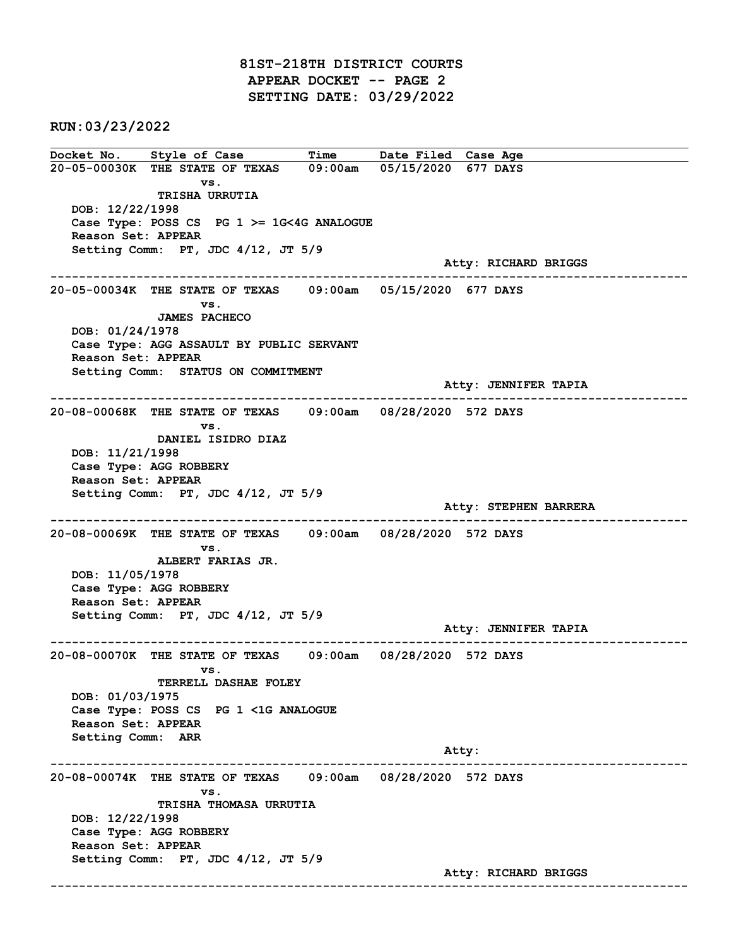81ST-218TH DISTRICT COURTS APPEAR DOCKET -- PAGE 2 SETTING DATE: 03/29/2022

RUN:03/23/2022

Docket No. Style of Case Time Date Filed Case Age 20-05-00030K THE STATE OF TEXAS 09:00am 05/15/2020 677 DAYS vs. TRISHA URRUTIA DOB: 12/22/1998 Case Type: POSS CS PG 1 >= 1G<4G ANALOGUE Reason Set: APPEAR Setting Comm: PT, JDC 4/12, JT 5/9 Atty: RICHARD BRIGGS ------------------------------------------------------------------------------------------------------------------------ 20-05-00034K THE STATE OF TEXAS 09:00am 05/15/2020 677 DAYS vs. JAMES PACHECO DOB: 01/24/1978 Case Type: AGG ASSAULT BY PUBLIC SERVANT Reason Set: APPEAR Setting Comm: STATUS ON COMMITMENT Atty: JENNIFER TAPIA ------------------------------------------------------------------------------------------------------------------------ 20-08-00068K THE STATE OF TEXAS 09:00am 08/28/2020 572 DAYS vs. DANIEL ISIDRO DIAZ DOB: 11/21/1998 Case Type: AGG ROBBERY Reason Set: APPEAR Setting Comm: PT, JDC 4/12, JT 5/9 Atty: STEPHEN BARRERA ------------------------------------------------------------------------------------------------------------------------ 20-08-00069K THE STATE OF TEXAS 09:00am 08/28/2020 572 DAYS vs. ALBERT FARIAS JR. DOB: 11/05/1978 Case Type: AGG ROBBERY Reason Set: APPEAR Setting Comm: PT, JDC 4/12, JT 5/9 Atty: JENNIFER TAPIA ------------------------------------------------------------------------------------------------------------------------ 20-08-00070K THE STATE OF TEXAS 09:00am 08/28/2020 572 DAYS vs. TERRELL DASHAE FOLEY DOB: 01/03/1975 Case Type: POSS CS PG 1 <1G ANALOGUE Reason Set: APPEAR Setting Comm: ARR Atty: ------------------------------------------------------------------------------------------------------------------------ 20-08-00074K THE STATE OF TEXAS 09:00am 08/28/2020 572 DAYS vs. TRISHA THOMASA URRUTIA DOB: 12/22/1998 Case Type: AGG ROBBERY Reason Set: APPEAR Setting Comm: PT, JDC 4/12, JT 5/9 Atty: RICHARD BRIGGS ------------------------------------------------------------------------------------------------------------------------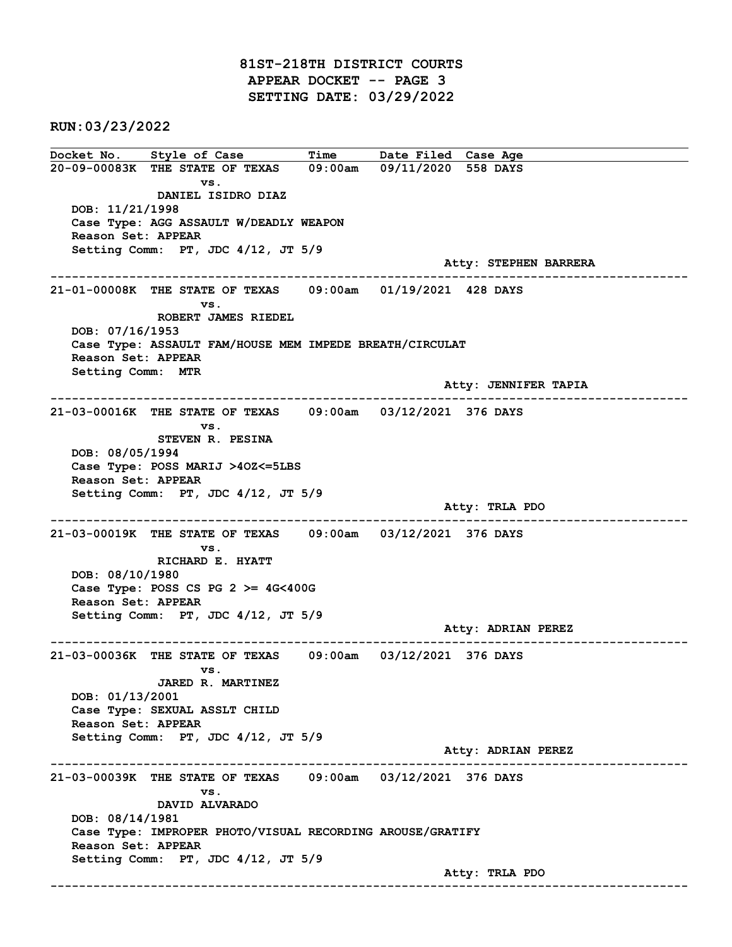81ST-218TH DISTRICT COURTS APPEAR DOCKET -- PAGE 3 SETTING DATE: 03/29/2022

RUN:03/23/2022

Docket No. Style of Case Time Date Filed Case Age 20-09-00083K THE STATE OF TEXAS 09:00am 09/11/2020 558 DAYS vs. DANIEL ISIDRO DIAZ DOB: 11/21/1998 Case Type: AGG ASSAULT W/DEADLY WEAPON Reason Set: APPEAR Setting Comm: PT, JDC 4/12, JT 5/9 Atty: STEPHEN BARRERA ------------------------------------------------------------------------------------------------------------------------ 21-01-00008K THE STATE OF TEXAS 09:00am 01/19/2021 428 DAYS vs. ROBERT JAMES RIEDEL DOB: 07/16/1953 Case Type: ASSAULT FAM/HOUSE MEM IMPEDE BREATH/CIRCULAT Reason Set: APPEAR Setting Comm: MTR Atty: JENNIFER TAPIA ------------------------------------------------------------------------------------------------------------------------ 21-03-00016K THE STATE OF TEXAS 09:00am 03/12/2021 376 DAYS vs. STEVEN R. PESINA DOB: 08/05/1994 Case Type: POSS MARIJ >4OZ<=5LBS Reason Set: APPEAR Setting Comm: PT, JDC 4/12, JT 5/9 Atty: TRLA PDO ------------------------------------------------------------------------------------------------------------------------ 21-03-00019K THE STATE OF TEXAS 09:00am 03/12/2021 376 DAYS vs. RICHARD E. HYATT DOB: 08/10/1980 Case Type: POSS CS PG  $2 \ge 4$ G<400G Reason Set: APPEAR Setting Comm: PT, JDC 4/12, JT 5/9 Atty: ADRIAN PEREZ ------------------------------------------------------------------------------------------------------------------------ 21-03-00036K THE STATE OF TEXAS 09:00am 03/12/2021 376 DAYS vs. JARED R. MARTINEZ DOB: 01/13/2001 Case Type: SEXUAL ASSLT CHILD Reason Set: APPEAR Setting Comm: PT, JDC 4/12, JT 5/9 Atty: ADRIAN PEREZ ------------------------------------------------------------------------------------------------------------------------ 21-03-00039K THE STATE OF TEXAS 09:00am 03/12/2021 376 DAYS vs. DAVID ALVARADO DOB: 08/14/1981 Case Type: IMPROPER PHOTO/VISUAL RECORDING AROUSE/GRATIFY Reason Set: APPEAR Setting Comm: PT, JDC 4/12, JT 5/9 Atty: TRLA PDO ------------------------------------------------------------------------------------------------------------------------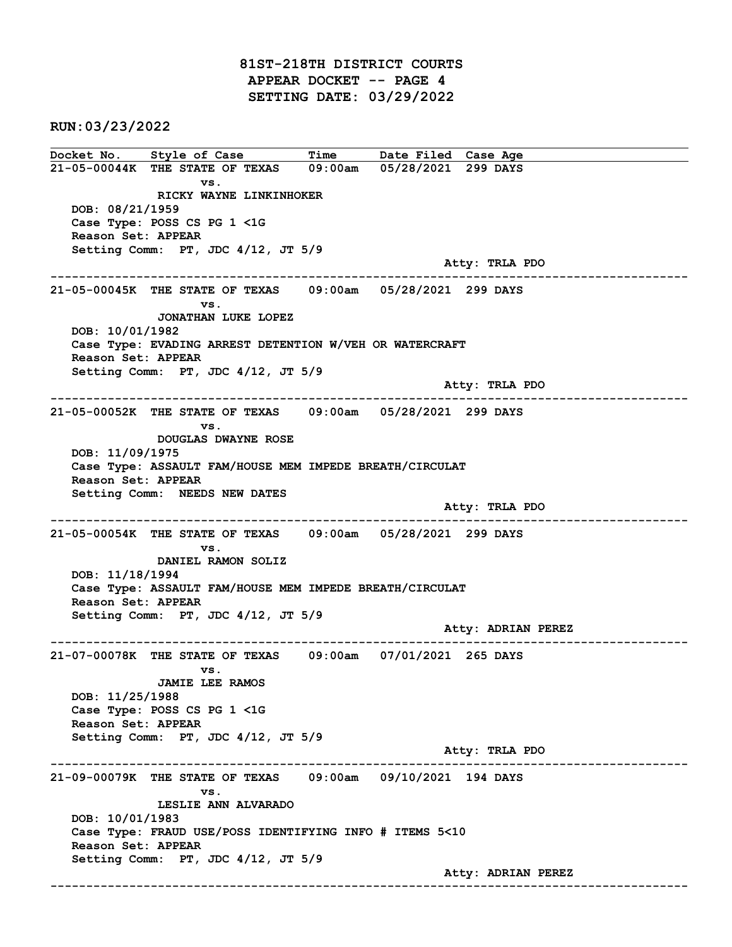81ST-218TH DISTRICT COURTS APPEAR DOCKET -- PAGE 4 SETTING DATE: 03/29/2022

RUN:03/23/2022

Docket No. Style of Case Time Date Filed Case Age 21-05-00044K THE STATE OF TEXAS 09:00am 05/28/2021 299 DAYS vs. RICKY WAYNE LINKINHOKER DOB: 08/21/1959 Case Type: POSS CS PG 1 <1G Reason Set: APPEAR Setting Comm: PT, JDC 4/12, JT 5/9 Atty: TRLA PDO ------------------------------------------------------------------------------------------------------------------------ 21-05-00045K THE STATE OF TEXAS 09:00am 05/28/2021 299 DAYS vs. JONATHAN LUKE LOPEZ DOB: 10/01/1982 Case Type: EVADING ARREST DETENTION W/VEH OR WATERCRAFT Reason Set: APPEAR Setting Comm: PT, JDC 4/12, JT 5/9 Atty: TRLA PDO ------------------------------------------------------------------------------------------------------------------------ 21-05-00052K THE STATE OF TEXAS 09:00am 05/28/2021 299 DAYS vs. DOUGLAS DWAYNE ROSE DOB: 11/09/1975 Case Type: ASSAULT FAM/HOUSE MEM IMPEDE BREATH/CIRCULAT Reason Set: APPEAR Setting Comm: NEEDS NEW DATES Atty: TRLA PDO ------------------------------------------------------------------------------------------------------------------------ 21-05-00054K THE STATE OF TEXAS 09:00am 05/28/2021 299 DAYS vs. DANIEL RAMON SOLIZ DOB: 11/18/1994 Case Type: ASSAULT FAM/HOUSE MEM IMPEDE BREATH/CIRCULAT Reason Set: APPEAR Setting Comm: PT, JDC 4/12, JT 5/9 Atty: ADRIAN PEREZ ------------------------------------------------------------------------------------------------------------------------ 21-07-00078K THE STATE OF TEXAS 09:00am 07/01/2021 265 DAYS vs. JAMIE LEE RAMOS DOB: 11/25/1988 Case Type: POSS CS PG 1 <1G Reason Set: APPEAR Setting Comm: PT, JDC 4/12, JT 5/9 Atty: TRLA PDO ------------------------------------------------------------------------------------------------------------------------ 21-09-00079K THE STATE OF TEXAS 09:00am 09/10/2021 194 DAYS vs. LESLIE ANN ALVARADO DOB: 10/01/1983 Case Type: FRAUD USE/POSS IDENTIFYING INFO # ITEMS 5<10 Reason Set: APPEAR Setting Comm: PT, JDC 4/12, JT 5/9 Atty: ADRIAN PEREZ ------------------------------------------------------------------------------------------------------------------------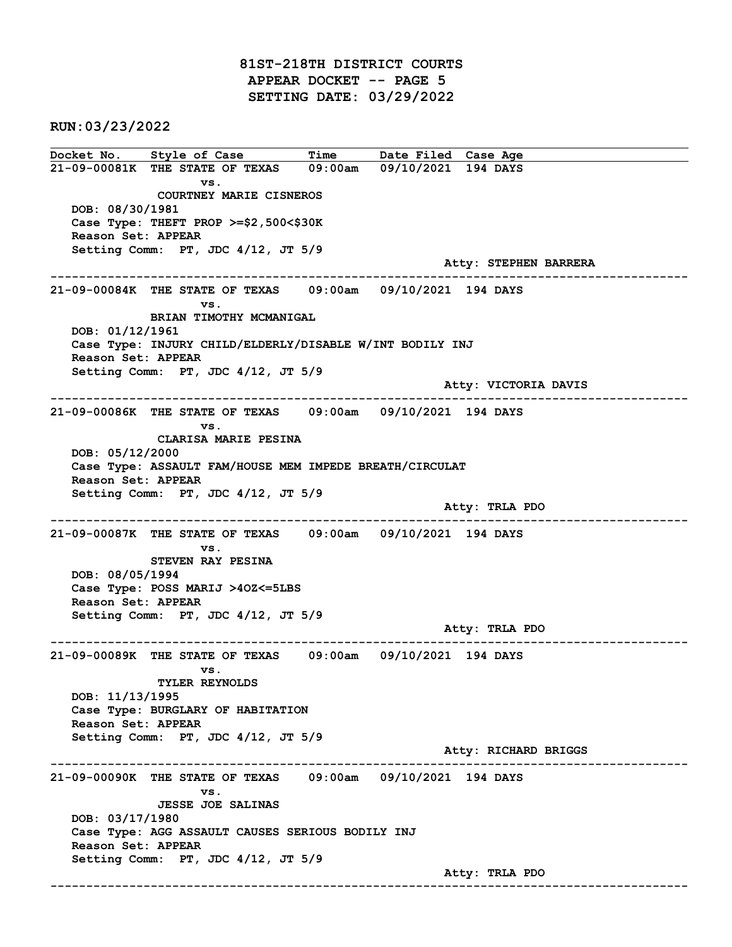81ST-218TH DISTRICT COURTS APPEAR DOCKET -- PAGE 5 SETTING DATE: 03/29/2022

RUN:03/23/2022

Docket No. Style of Case Time Date Filed Case Age 21-09-00081K THE STATE OF TEXAS 09:00am 09/10/2021 194 DAYS vs. COURTNEY MARIE CISNEROS DOB: 08/30/1981 Case Type: THEFT PROP >=\$2,500<\$30K Reason Set: APPEAR Setting Comm: PT, JDC 4/12, JT 5/9 Atty: STEPHEN BARRERA ------------------------------------------------------------------------------------------------------------------------ 21-09-00084K THE STATE OF TEXAS 09:00am 09/10/2021 194 DAYS vs. BRIAN TIMOTHY MCMANIGAL DOB: 01/12/1961 Case Type: INJURY CHILD/ELDERLY/DISABLE W/INT BODILY INJ Reason Set: APPEAR Setting Comm: PT, JDC 4/12, JT 5/9 Atty: VICTORIA DAVIS ------------------------------------------------------------------------------------------------------------------------ 21-09-00086K THE STATE OF TEXAS 09:00am 09/10/2021 194 DAYS vs. CLARISA MARIE PESINA DOB: 05/12/2000 Case Type: ASSAULT FAM/HOUSE MEM IMPEDE BREATH/CIRCULAT Reason Set: APPEAR Setting Comm: PT, JDC 4/12, JT 5/9 Atty: TRLA PDO ------------------------------------------------------------------------------------------------------------------------ 21-09-00087K THE STATE OF TEXAS 09:00am 09/10/2021 194 DAYS vs. STEVEN RAY PESINA DOB: 08/05/1994 Case Type: POSS MARIJ >4OZ<=5LBS Reason Set: APPEAR Setting Comm: PT, JDC 4/12, JT 5/9 Atty: TRLA PDO ------------------------------------------------------------------------------------------------------------------------ 21-09-00089K THE STATE OF TEXAS 09:00am 09/10/2021 194 DAYS vs. TYLER REYNOLDS DOB: 11/13/1995 Case Type: BURGLARY OF HABITATION Reason Set: APPEAR Setting Comm: PT, JDC 4/12, JT 5/9 Atty: RICHARD BRIGGS ------------------------------------------------------------------------------------------------------------------------ 21-09-00090K THE STATE OF TEXAS 09:00am 09/10/2021 194 DAYS vs. JESSE JOE SALINAS DOB: 03/17/1980 Case Type: AGG ASSAULT CAUSES SERIOUS BODILY INJ Reason Set: APPEAR Setting Comm: PT, JDC 4/12, JT 5/9 Atty: TRLA PDO ------------------------------------------------------------------------------------------------------------------------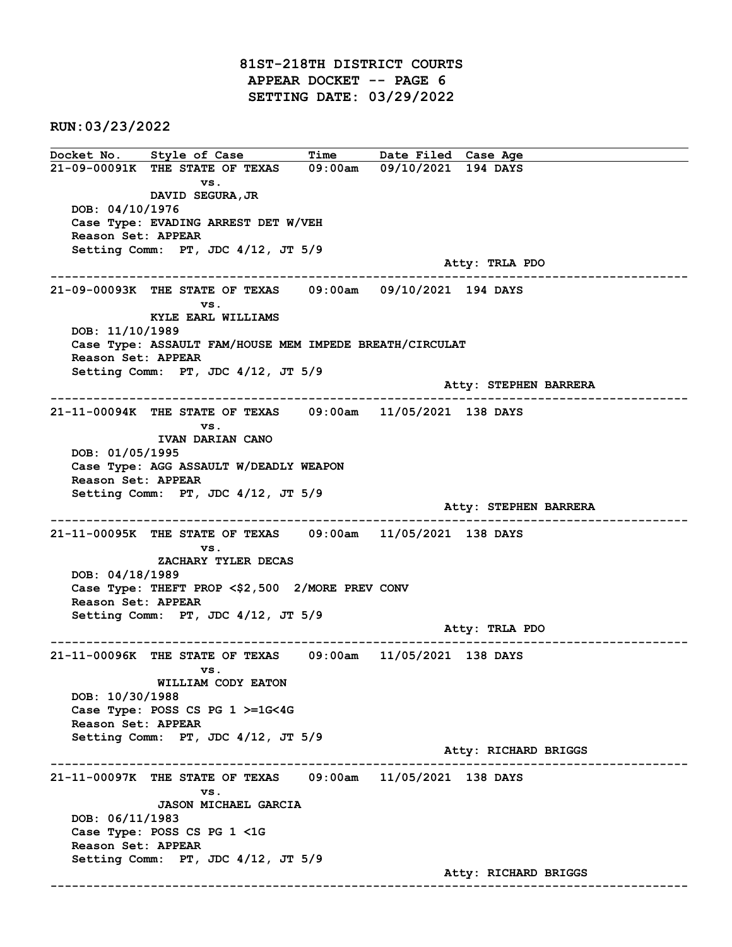81ST-218TH DISTRICT COURTS APPEAR DOCKET -- PAGE 6 SETTING DATE: 03/29/2022

RUN:03/23/2022

Docket No. Style of Case Time Date Filed Case Age 21-09-00091K THE STATE OF TEXAS 09:00am 09/10/2021 194 DAYS vs. DAVID SEGURA,JR DOB: 04/10/1976 Case Type: EVADING ARREST DET W/VEH Reason Set: APPEAR Setting Comm: PT, JDC 4/12, JT 5/9 Atty: TRLA PDO ------------------------------------------------------------------------------------------------------------------------ 21-09-00093K THE STATE OF TEXAS 09:00am 09/10/2021 194 DAYS vs. KYLE EARL WILLIAMS DOB: 11/10/1989 Case Type: ASSAULT FAM/HOUSE MEM IMPEDE BREATH/CIRCULAT Reason Set: APPEAR Setting Comm: PT, JDC 4/12, JT 5/9 Atty: STEPHEN BARRERA ------------------------------------------------------------------------------------------------------------------------ 21-11-00094K THE STATE OF TEXAS 09:00am 11/05/2021 138 DAYS vs. IVAN DARIAN CANO DOB: 01/05/1995 Case Type: AGG ASSAULT W/DEADLY WEAPON Reason Set: APPEAR Setting Comm: PT, JDC 4/12, JT 5/9 Atty: STEPHEN BARRERA ------------------------------------------------------------------------------------------------------------------------ 21-11-00095K THE STATE OF TEXAS 09:00am 11/05/2021 138 DAYS vs. ZACHARY TYLER DECAS DOB: 04/18/1989 Case Type: THEFT PROP <\$2,500 2/MORE PREV CONV Reason Set: APPEAR Setting Comm: PT, JDC 4/12, JT 5/9 Atty: TRLA PDO ------------------------------------------------------------------------------------------------------------------------ 21-11-00096K THE STATE OF TEXAS 09:00am 11/05/2021 138 DAYS vs. WILLIAM CODY EATON DOB: 10/30/1988 Case Type: POSS CS PG 1 >=1G<4G Reason Set: APPEAR Setting Comm: PT, JDC 4/12, JT 5/9 Atty: RICHARD BRIGGS ------------------------------------------------------------------------------------------------------------------------ 21-11-00097K THE STATE OF TEXAS 09:00am 11/05/2021 138 DAYS vs. JASON MICHAEL GARCIA DOB: 06/11/1983 Case Type: POSS CS PG 1 <1G Reason Set: APPEAR Setting Comm: PT, JDC 4/12, JT 5/9 Atty: RICHARD BRIGGS ------------------------------------------------------------------------------------------------------------------------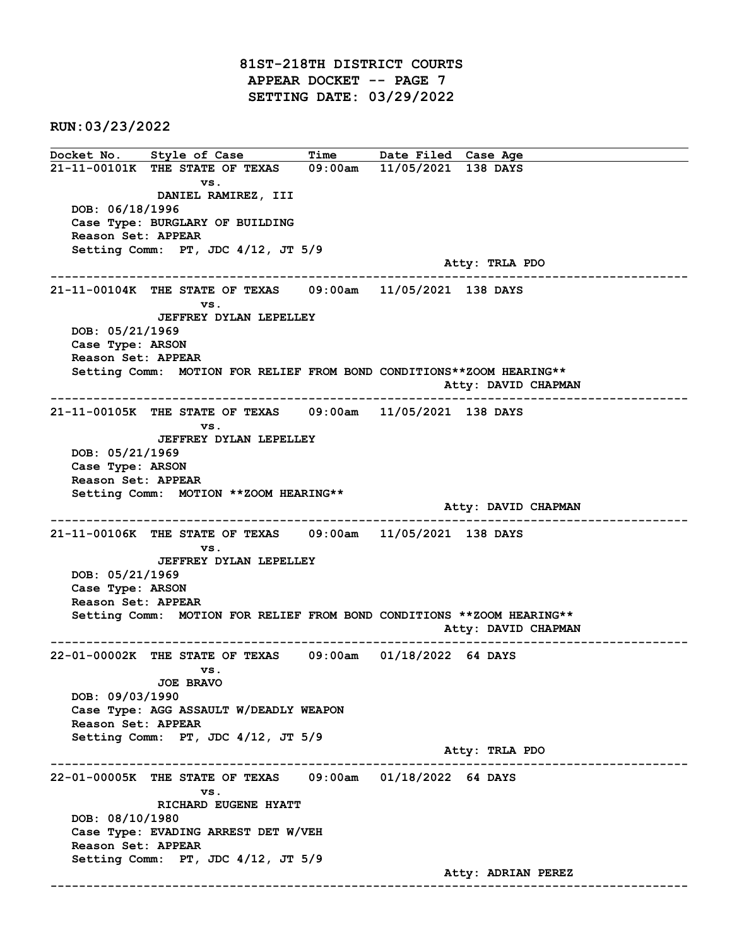81ST-218TH DISTRICT COURTS APPEAR DOCKET -- PAGE 7 SETTING DATE: 03/29/2022

RUN:03/23/2022

Docket No. Style of Case Time Date Filed Case Age 21-11-00101K THE STATE OF TEXAS 09:00am 11/05/2021 138 DAYS vs. DANIEL RAMIREZ, III DOB: 06/18/1996 Case Type: BURGLARY OF BUILDING Reason Set: APPEAR Setting Comm: PT, JDC 4/12, JT 5/9 Atty: TRLA PDO ------------------------------------------------------------------------------------------------------------------------ 21-11-00104K THE STATE OF TEXAS 09:00am 11/05/2021 138 DAYS vs. JEFFREY DYLAN LEPELLEY DOB: 05/21/1969 Case Type: ARSON Reason Set: APPEAR Setting Comm: MOTION FOR RELIEF FROM BOND CONDITIONS\*\*ZOOM HEARING\*\* Atty: DAVID CHAPMAN ------------------------------------------------------------------------------------------------------------------------ 21-11-00105K THE STATE OF TEXAS 09:00am 11/05/2021 138 DAYS vs. JEFFREY DYLAN LEPELLEY DOB: 05/21/1969 Case Type: ARSON Reason Set: APPEAR Setting Comm: MOTION \*\*ZOOM HEARING\*\* Atty: DAVID CHAPMAN ------------------------------------------------------------------------------------------------------------------------ 21-11-00106K THE STATE OF TEXAS 09:00am 11/05/2021 138 DAYS vs. JEFFREY DYLAN LEPELLEY DOB: 05/21/1969 Case Type: ARSON Reason Set: APPEAR Setting Comm: MOTION FOR RELIEF FROM BOND CONDITIONS \*\*ZOOM HEARING\*\* Atty: DAVID CHAPMAN ------------------------------------------------------------------------------------------------------------------------ 22-01-00002K THE STATE OF TEXAS 09:00am 01/18/2022 64 DAYS vs. JOE BRAVO DOB: 09/03/1990 Case Type: AGG ASSAULT W/DEADLY WEAPON Reason Set: APPEAR Setting Comm: PT, JDC 4/12, JT 5/9 Atty: TRLA PDO ------------------------------------------------------------------------------------------------------------------------ 22-01-00005K THE STATE OF TEXAS 09:00am 01/18/2022 64 DAYS vs. RICHARD EUGENE HYATT DOB: 08/10/1980 Case Type: EVADING ARREST DET W/VEH Reason Set: APPEAR Setting Comm: PT, JDC 4/12, JT 5/9 Atty: ADRIAN PEREZ ------------------------------------------------------------------------------------------------------------------------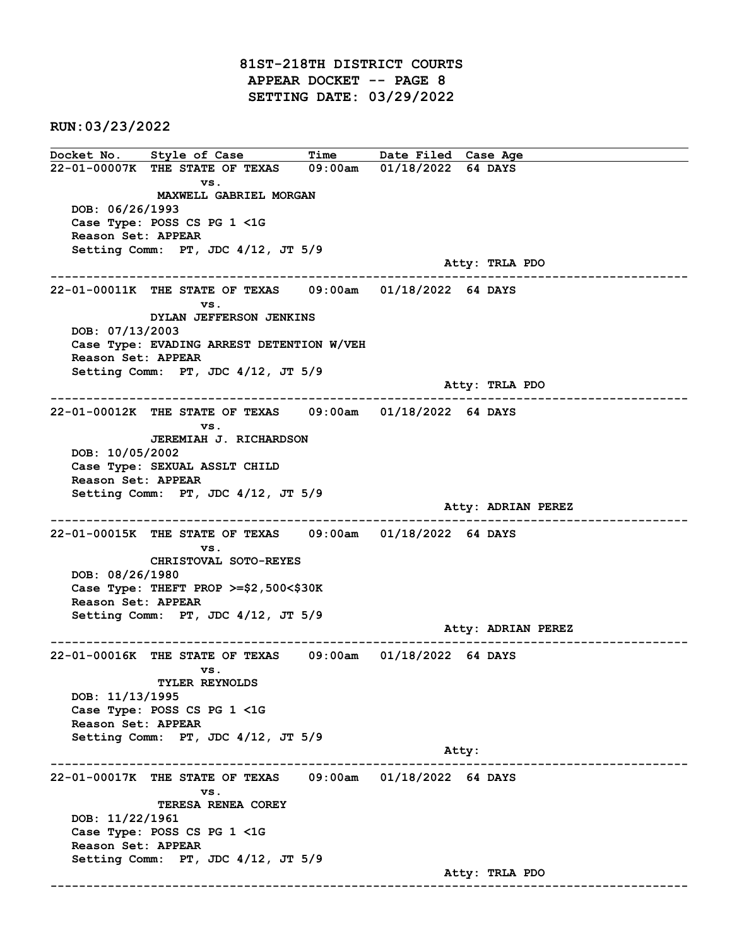81ST-218TH DISTRICT COURTS APPEAR DOCKET -- PAGE 8 SETTING DATE: 03/29/2022

RUN:03/23/2022

Docket No. Style of Case Time Date Filed Case Age 22-01-00007K THE STATE OF TEXAS 09:00am 01/18/2022 64 DAYS vs. MAXWELL GABRIEL MORGAN DOB: 06/26/1993 Case Type: POSS CS PG 1 <1G Reason Set: APPEAR Setting Comm: PT, JDC 4/12, JT 5/9 Atty: TRLA PDO ------------------------------------------------------------------------------------------------------------------------ 22-01-00011K THE STATE OF TEXAS 09:00am 01/18/2022 64 DAYS vs. DYLAN JEFFERSON JENKINS DOB: 07/13/2003 Case Type: EVADING ARREST DETENTION W/VEH Reason Set: APPEAR Setting Comm: PT, JDC 4/12, JT 5/9 Atty: TRLA PDO ------------------------------------------------------------------------------------------------------------------------ 22-01-00012K THE STATE OF TEXAS 09:00am 01/18/2022 64 DAYS vs. JEREMIAH J. RICHARDSON DOB: 10/05/2002 Case Type: SEXUAL ASSLT CHILD Reason Set: APPEAR Setting Comm: PT, JDC 4/12, JT 5/9 Atty: ADRIAN PEREZ ------------------------------------------------------------------------------------------------------------------------ 22-01-00015K THE STATE OF TEXAS 09:00am 01/18/2022 64 DAYS vs. CHRISTOVAL SOTO-REYES DOB: 08/26/1980 Case Type: THEFT PROP >=\$2,500<\$30K Reason Set: APPEAR Setting Comm: PT, JDC 4/12, JT 5/9 Atty: ADRIAN PEREZ ------------------------------------------------------------------------------------------------------------------------ 22-01-00016K THE STATE OF TEXAS 09:00am 01/18/2022 64 DAYS vs. TYLER REYNOLDS DOB: 11/13/1995 Case Type: POSS CS PG 1 <1G Reason Set: APPEAR Setting Comm: PT, JDC 4/12, JT 5/9 Atty: ------------------------------------------------------------------------------------------------------------------------ 22-01-00017K THE STATE OF TEXAS 09:00am 01/18/2022 64 DAYS vs. TERESA RENEA COREY DOB: 11/22/1961 Case Type: POSS CS PG 1 <1G Reason Set: APPEAR Setting Comm: PT, JDC 4/12, JT 5/9 Atty: TRLA PDO ------------------------------------------------------------------------------------------------------------------------